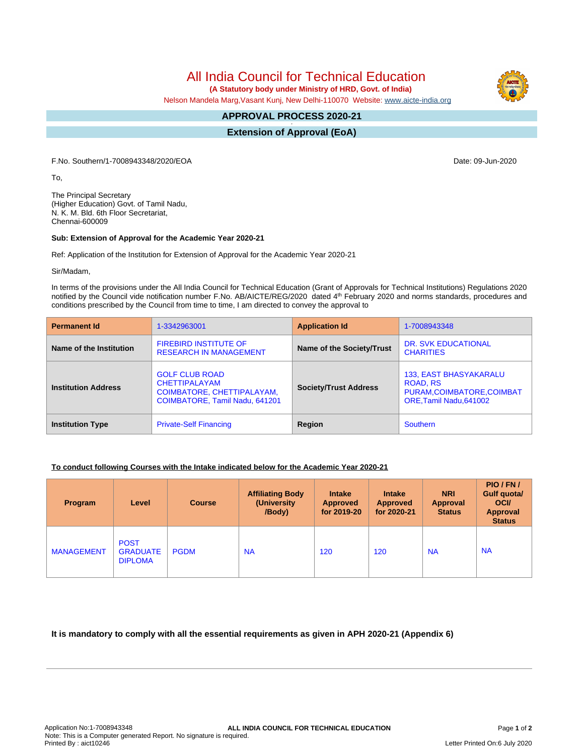All India Council for Technical Education

 **(A Statutory body under Ministry of HRD, Govt. of India)**

Nelson Mandela Marg,Vasant Kunj, New Delhi-110070 Website: [www.aicte-india.org](http://www.aicte-india.org)

#### **APPROVAL PROCESS 2020-21 -**

**Extension of Approval (EoA)**

F.No. Southern/1-7008943348/2020/EOA Date: 09-Jun-2020

To,

The Principal Secretary (Higher Education) Govt. of Tamil Nadu, N. K. M. Bld. 6th Floor Secretariat, Chennai-600009

### **Sub: Extension of Approval for the Academic Year 2020-21**

Ref: Application of the Institution for Extension of Approval for the Academic Year 2020-21

Sir/Madam,

In terms of the provisions under the All India Council for Technical Education (Grant of Approvals for Technical Institutions) Regulations 2020 notified by the Council vide notification number F.No. AB/AICTE/REG/2020 dated 4<sup>th</sup> February 2020 and norms standards, procedures and conditions prescribed by the Council from time to time, I am directed to convey the approval to

| <b>Permanent Id</b>        | 1-3342963001                                                                                                  | <b>Application Id</b>        | 1-7008943348                                                                                              |  |
|----------------------------|---------------------------------------------------------------------------------------------------------------|------------------------------|-----------------------------------------------------------------------------------------------------------|--|
| Name of the Institution    | <b>FIREBIRD INSTITUTE OF</b><br><b>RESEARCH IN MANAGEMENT</b>                                                 | Name of the Society/Trust    | <b>DR. SVK EDUCATIONAL</b><br><b>CHARITIES</b>                                                            |  |
| <b>Institution Address</b> | <b>GOLF CLUB ROAD</b><br><b>CHETTIPALAYAM</b><br>COIMBATORE, CHETTIPALAYAM,<br>COIMBATORE, Tamil Nadu, 641201 | <b>Society/Trust Address</b> | <b>133, EAST BHASYAKARALU</b><br><b>ROAD, RS</b><br>PURAM, COIMBATORE, COIMBAT<br>ORE, Tamil Nadu, 641002 |  |
| <b>Institution Type</b>    | <b>Private-Self Financing</b>                                                                                 | Region                       | <b>Southern</b>                                                                                           |  |

### **To conduct following Courses with the Intake indicated below for the Academic Year 2020-21**

| Program           | Level                                            | <b>Course</b> | <b>Affiliating Body</b><br>(University)<br>/Body) | <b>Intake</b><br><b>Approved</b><br>for 2019-20 | <b>Intake</b><br><b>Approved</b><br>for 2020-21 | <b>NRI</b><br><b>Approval</b><br><b>Status</b> | PIO/FN/<br><b>Gulf quotal</b><br><b>OCI</b><br><b>Approval</b><br><b>Status</b> |
|-------------------|--------------------------------------------------|---------------|---------------------------------------------------|-------------------------------------------------|-------------------------------------------------|------------------------------------------------|---------------------------------------------------------------------------------|
| <b>MANAGEMENT</b> | <b>POST</b><br><b>GRADUATE</b><br><b>DIPLOMA</b> | <b>PGDM</b>   | <b>NA</b>                                         | 120                                             | 120                                             | <b>NA</b>                                      | <b>NA</b>                                                                       |

## **It is mandatory to comply with all the essential requirements as given in APH 2020-21 (Appendix 6)**